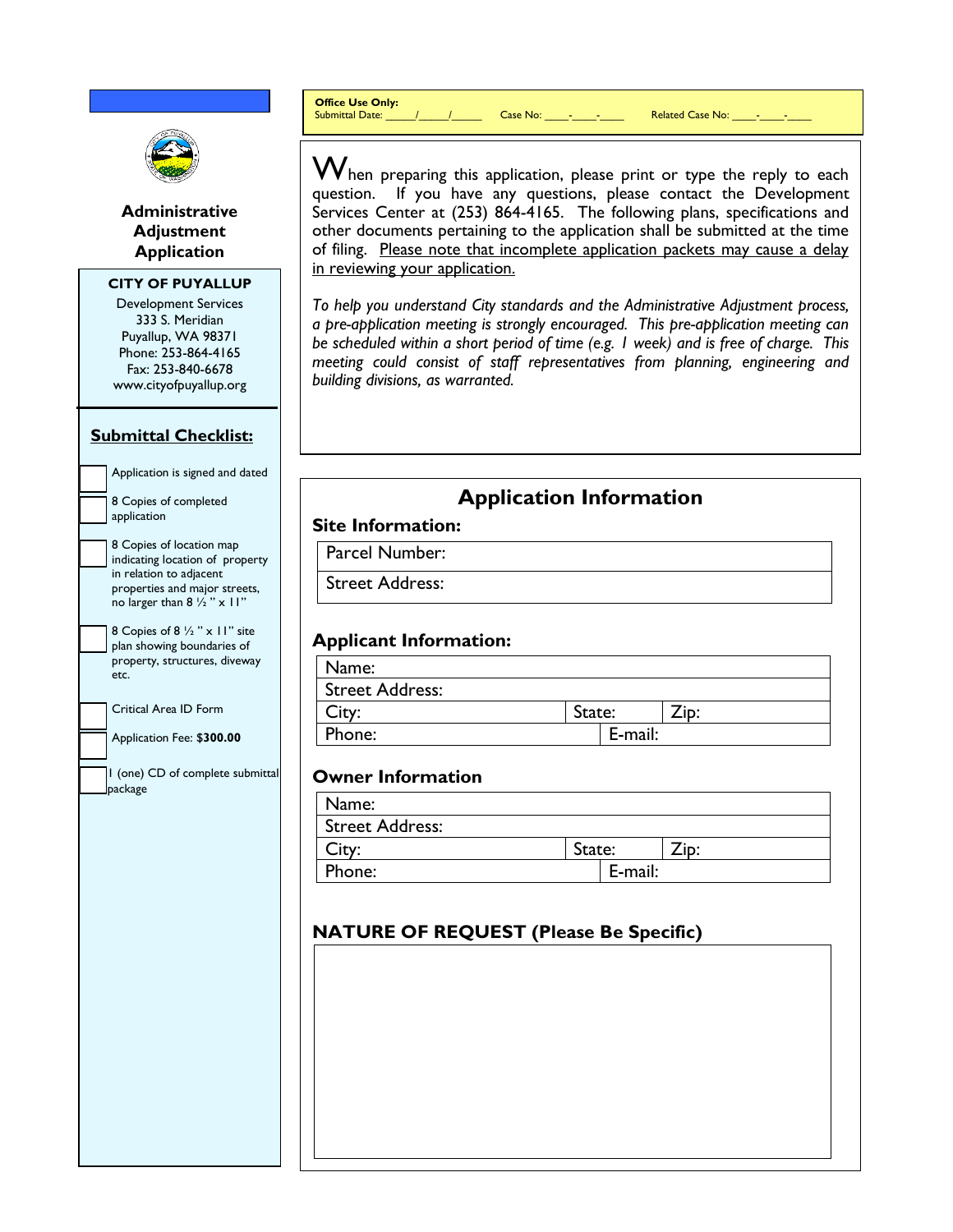**Office Use Only:**

Submittal Date:  $\begin{array}{ccc} \hline \end{array}$  /  $\begin{array}{ccc} \hline \end{array}$  Case No:  $\begin{array}{ccc} \hline \end{array}$  -  $\begin{array}{ccc} \hline \end{array}$  Related Case No:  $\begin{array}{ccc} \hline \end{array}$ 



**Administrative Adjustment Application**

#### **CITY OF PUYALLUP**

Development Services 333 S. Meridian Puyallup, WA 98371 Phone: 253-864-4165 Fax: 253-840-6678 www.cityofpuyallup.org

#### **Submittal Checklist:**

application

Application is signed and dated 8 Copies of completed

8 Copies of location map indicating location of property in relation to adjacent properties and major streets, no larger than  $8\frac{1}{2}$  " x 11"

8 Copies of 8 ½ " x 11" site plan showing boundaries of property, structures, diveway etc.

Critical Area ID Form

Application Fee: \$**300.00**

1 (one) CD of complete submittal package

 $\boldsymbol{\mathsf{W}}$ hen preparing this application, please print or type the reply to each question. If you have any questions, please contact the Development Services Center at (253) 864-4165. The following plans, specifications and other documents pertaining to the application shall be submitted at the time of filing. Please note that incomplete application packets may cause a delay in reviewing your application.

*To help you understand City standards and the Administrative Adjustment process, a pre-application meeting is strongly encouraged. This pre-application meeting can be scheduled within a short period of time (e.g. 1 week) and is free of charge. This meeting could consist of staff representatives from planning, engineering and building divisions, as warranted.*

# **Application Information**

#### **Site Information:**

Parcel Number:

Street Address:

#### **Applicant Information:**

| Name:           |         |  |
|-----------------|---------|--|
| Street Address: |         |  |
| City:           | State:  |  |
| Phone:          | E-mail: |  |

#### **Owner Information**

| Name:                  |        |         |      |  |
|------------------------|--------|---------|------|--|
| <b>Street Address:</b> |        |         |      |  |
| City:                  | State: |         | ⊥lD: |  |
| Phone:                 |        | E-mail: |      |  |

## **NATURE OF REQUEST (Please Be Specific)**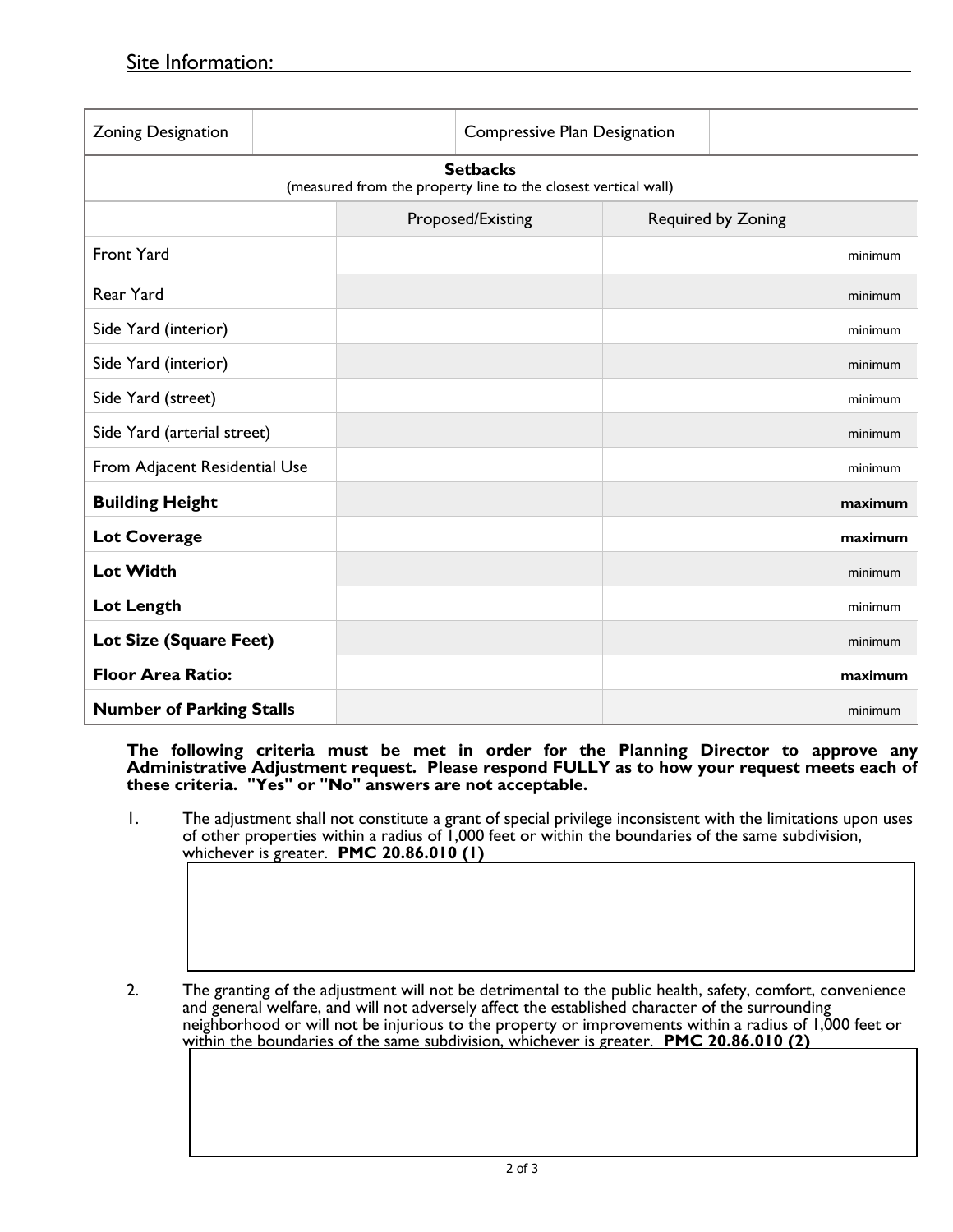| Zoning Designation                                                                |  |  | Compressive Plan Designation |  |                    |         |  |
|-----------------------------------------------------------------------------------|--|--|------------------------------|--|--------------------|---------|--|
| <b>Setbacks</b><br>(measured from the property line to the closest vertical wall) |  |  |                              |  |                    |         |  |
|                                                                                   |  |  | Proposed/Existing            |  | Required by Zoning |         |  |
| <b>Front Yard</b>                                                                 |  |  |                              |  |                    | minimum |  |
| Rear Yard                                                                         |  |  |                              |  |                    | minimum |  |
| Side Yard (interior)                                                              |  |  |                              |  |                    | minimum |  |
| Side Yard (interior)                                                              |  |  |                              |  |                    | minimum |  |
| Side Yard (street)                                                                |  |  |                              |  |                    | minimum |  |
| Side Yard (arterial street)                                                       |  |  |                              |  |                    | minimum |  |
| From Adjacent Residential Use                                                     |  |  |                              |  |                    | minimum |  |
| <b>Building Height</b>                                                            |  |  |                              |  |                    | maximum |  |
| <b>Lot Coverage</b>                                                               |  |  |                              |  |                    | maximum |  |
| <b>Lot Width</b>                                                                  |  |  |                              |  |                    | minimum |  |
| Lot Length                                                                        |  |  |                              |  |                    | minimum |  |
| Lot Size (Square Feet)                                                            |  |  |                              |  |                    | minimum |  |
| <b>Floor Area Ratio:</b>                                                          |  |  |                              |  |                    | maximum |  |
| <b>Number of Parking Stalls</b>                                                   |  |  |                              |  |                    | minimum |  |

**The following criteria must be met in order for the Planning Director to approve any Administrative Adjustment request. Please respond FULLY as to how your request meets each of these criteria. "Yes" or "No" answers are not acceptable.**

- 1. The adjustment shall not constitute a grant of special privilege inconsistent with the limitations upon uses of other properties within a radius of 1,000 feet or within the boundaries of the same subdivision, whichever is greater. **PMC 20.86.010 (1)**
- 2. The granting of the adjustment will not be detrimental to the public health, safety, comfort, convenience and general welfare, and will not adversely affect the established character of the surrounding neighborhood or will not be injurious to the property or improvements within a radius of 1,000 feet or within the boundaries of the same subdivision, whichever is greater. **PMC 20.86.010 (2)**